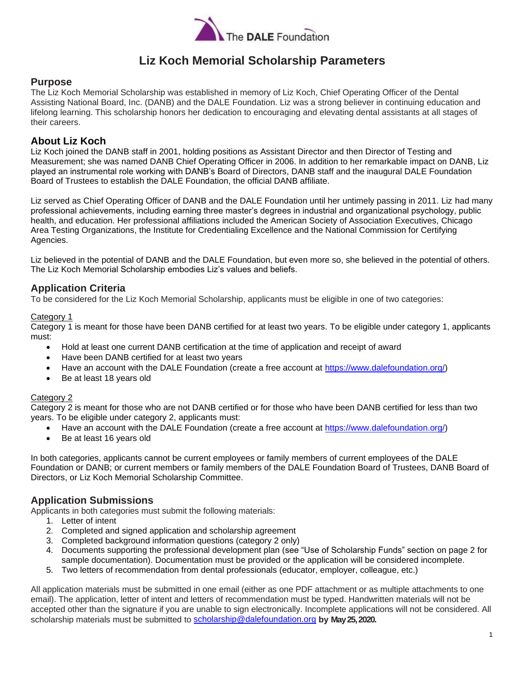

# **Liz Koch Memorial Scholarship Parameters**

### **Purpose**

The Liz Koch Memorial Scholarship was established in memory of Liz Koch, Chief Operating Officer of the Dental Assisting National Board, Inc. (DANB) and the DALE Foundation. Liz was a strong believer in continuing education and lifelong learning. This scholarship honors her dedication to encouraging and elevating dental assistants at all stages of their careers.

#### **About Liz Koch**

Liz Koch joined the DANB staff in 2001, holding positions as Assistant Director and then Director of Testing and Measurement; she was named DANB Chief Operating Officer in 2006. In addition to her remarkable impact on DANB, Liz played an instrumental role working with DANB's Board of Directors, DANB staff and the inaugural DALE Foundation Board of Trustees to establish the DALE Foundation, the official DANB affiliate.

Liz served as Chief Operating Officer of DANB and the DALE Foundation until her untimely passing in 2011. Liz had many professional achievements, including earning three master's degrees in industrial and organizational psychology, public health, and education. Her professional affiliations included the American Society of Association Executives, Chicago Area Testing Organizations, the Institute for Credentialing Excellence and the National Commission for Certifying Agencies.

Liz believed in the potential of DANB and the DALE Foundation, but even more so, she believed in the potential of others. The Liz Koch Memorial Scholarship embodies Liz's values and beliefs.

### **Application Criteria**

To be considered for the Liz Koch Memorial Scholarship, applicants must be eligible in one of two categories:

#### Category 1

Category 1 is meant for those have been DANB certified for at least two years. To be eligible under category 1, applicants must:

- Hold at least one current DANB certification at the time of application and receipt of award
- Have been DANB certified for at least two years
- Have an account with the DALE Foundation (create a free account at https://www.dalefoundation.org/)
- Be at least 18 years old

#### Category 2

Category 2 is meant for those who are not DANB certified or for those who have been DANB certified for less than two years. To be eligible under category 2, applicants must:

- Have an account with the DALE Foundation (create a free account at https://www.dalefoundation.org/)
- Be at least 16 years old

In both categories, applicants cannot be current employees or family members of current employees of the DALE Foundation or DANB; or current members or family members of the DALE Foundation Board of Trustees, DANB Board of Directors, or Liz Koch Memorial Scholarship Committee.

### **Application Submissions**

Applicants in both categories must submit the following materials:

- 1. Letter of intent
- 2. Completed and signed application and scholarship agreement
- 3. Completed background information questions (category 2 only)
- 4. Documents supporting the professional development plan (see "Use of Scholarship Funds" section on page 2 for sample documentation). Documentation must be provided or the application will be considered incomplete.
- 5. Two letters of recommendation from dental professionals (educator, employer, colleague, etc.)

All application materials must be submitted in one email (either as one PDF attachment or as multiple attachments to one email). The application, letter of intent and letters of recommendation must be typed. Handwritten materials will not be accepted other than the signature if you are unable to sign electronically. Incomplete applications will not be considered. All scholarship materials must be submitted to scholarship@dalefoundation.org **by May 25, 2020.**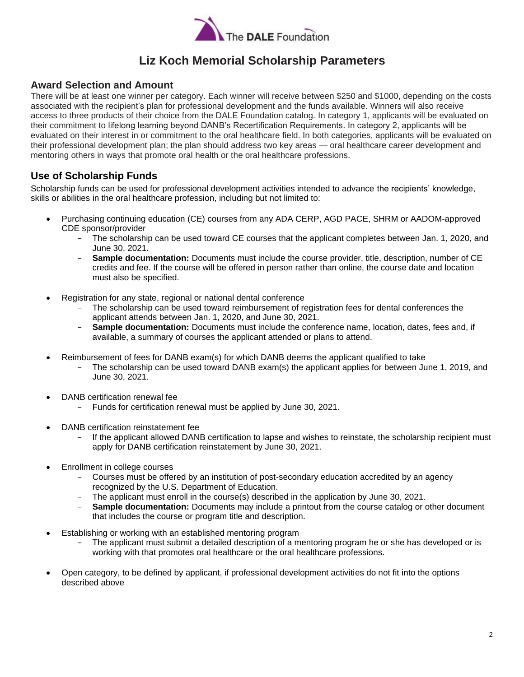

# **Liz Koch Memorial Scholarship Parameters**

### **Award Selection and Amount**

There will be at least one winner per category. Each winner will receive between \$250 and \$1000, depending on the costs associated with the recipient's plan for professional development and the funds available. Winners will also receive access to three products of their choice from the DALE Foundation catalog. In category 1, applicants will be evaluated on their commitment to lifelong learning beyond DANB's Recertification Requirements. In category 2, applicants will be evaluated on their interest in or commitment to the oral healthcare field. In both categories, applicants will be evaluated on their professional development plan; the plan should address two key areas — oral healthcare career development and mentoring others in ways that promote oral health or the oral healthcare professions.

### **Use of Scholarship Funds**

Scholarship funds can be used for professional development activities intended to advance the recipients' knowledge, skills or abilities in the oral healthcare profession, including but not limited to:

- Purchasing continuing education (CE) courses from any ADA CERP, AGD PACE, SHRM or AADOM-approved CDE sponsor/provider
	- The scholarship can be used toward CE courses that the applicant completes between Jan. 1, 2020, and June 30, 2021.
	- **Sample documentation:** Documents must include the course provider, title, description, number of CE credits and fee. If the course will be offered in person rather than online, the course date and location must also be specified.
- Registration for any state, regional or national dental conference
	- The scholarship can be used toward reimbursement of registration fees for dental conferences the applicant attends between Jan. 1, 2020, and June 30, 2021.
	- **Sample documentation:** Documents must include the conference name, location, dates, fees and, if available, a summary of courses the applicant attended or plans to attend.
- Reimbursement of fees for DANB exam(s) for which DANB deems the applicant qualified to take
	- The scholarship can be used toward DANB exam(s) the applicant applies for between June 1, 2019, and June 30, 2021.
- DANB certification renewal fee
	- Funds for certification renewal must be applied by June 30, 2021.
- DANB certification reinstatement fee
	- If the applicant allowed DANB certification to lapse and wishes to reinstate, the scholarship recipient must apply for DANB certification reinstatement by June 30, 2021.
- Enrollment in college courses
	- Courses must be offered by an institution of post-secondary education accredited by an agency recognized by the U.S. Department of Education.
	- The applicant must enroll in the course(s) described in the application by June 30, 2021.
	- **Sample documentation:** Documents may include a printout from the course catalog or other document that includes the course or program title and description.
- Establishing or working with an established mentoring program
	- The applicant must submit a detailed description of a mentoring program he or she has developed or is working with that promotes oral healthcare or the oral healthcare professions.
- Open category, to be defined by applicant, if professional development activities do not fit into the options described above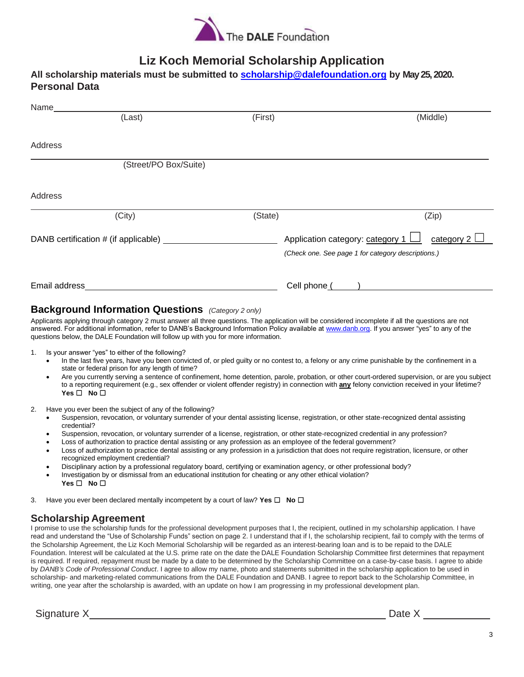

# **Liz Koch Memorial Scholarship Application**

| All scholarship materials must be submitted to scholarship@dalefoundation.org by May 25, 2020. |  |
|------------------------------------------------------------------------------------------------|--|
| <b>Personal Data</b>                                                                           |  |

| Name          |                                      |         |                                                                                                             |
|---------------|--------------------------------------|---------|-------------------------------------------------------------------------------------------------------------|
|               | (Last)                               | (First) | (Middle)                                                                                                    |
|               |                                      |         |                                                                                                             |
| Address       |                                      |         |                                                                                                             |
|               | (Street/PO Box/Suite)                |         |                                                                                                             |
| Address       |                                      |         |                                                                                                             |
|               | (City)                               | (State) | (Zip)                                                                                                       |
|               | DANB certification # (if applicable) |         | Application category: category 1<br>category $2 \Box$<br>(Check one. See page 1 for category descriptions.) |
| Email address |                                      |         | Cell phone (                                                                                                |

### **Background Information Questions** *(Category 2 only)*

Applicants applying through category 2 must answer all three questions. The application will be considered incomplete if all the questions are not answered. For additional information, refer to DANB's Background Information Policy available at www.danb.org. If you answer "yes" to any of the questions below, the DALE Foundation will follow up with you for more information.

- 1. Is your answer "yes" to either of the following?
	- In the last five years, have you been convicted of, or pled guilty or no contest to, a felony or any crime punishable by the confinement in a state or federal prison for any length of time?
	- Are you currently serving a sentence of confinement, home detention, parole, probation, or other court-ordered supervision, or are you subject to a reporting requirement (e.g., sex offender or violent offender registry) in connection with **any** felony conviction received in your lifetime? **Yes** ☐ **No** ☐
- 2. Have you ever been the subject of any of the following?
	- Suspension, revocation, or voluntary surrender of your dental assisting license, registration, or other state-recognized dental assisting credential?
	- Suspension, revocation, or voluntary surrender of a license, registration, or other state-recognized credential in any profession?
	- Loss of authorization to practice dental assisting or any profession as an employee of the federal government?
	- Loss of authorization to practice dental assisting or any profession in a jurisdiction that does not require registration, licensure, or other recognized employment credential?
	- Disciplinary action by a professional regulatory board, certifying or examination agency, or other professional body?
	- Investigation by or dismissal from an educational institution for cheating or any other ethical violation? **Yes** ☐ **No** ☐
- 3. Have you ever been declared mentally incompetent by a court of law? **Yes** ☐ **No** ☐

### **Scholarship Agreement**

I promise to use the scholarship funds for the professional development purposes that I, the recipient, outlined in my scholarship application. I have read and understand the "Use of Scholarship Funds" section on page 2. I understand that if I, the scholarship recipient, fail to comply with the terms of the Scholarship Agreement, the Liz Koch Memorial Scholarship will be regarded as an interest-bearing loan and is to be repaid to the DALE Foundation. Interest will be calculated at the U.S. prime rate on the date the DALE Foundation Scholarship Committee first determines that repayment is required. If required, repayment must be made by a date to be determined by the Scholarship Committee on a case-by-case basis. I agree to abide by *DANB's Code of Professional Conduct*. I agree to allow my name, photo and statements submitted in the scholarship application to be used in scholarship- and marketing-related communications from the DALE Foundation and DANB. I agree to report back to the Scholarship Committee, in writing, one year after the scholarship is awarded, with an update on how I am progressing in my professional development plan.

Signature X and Date X and Date X and Date X and Date X and Date X and Date X and Date X and Date X and Date X